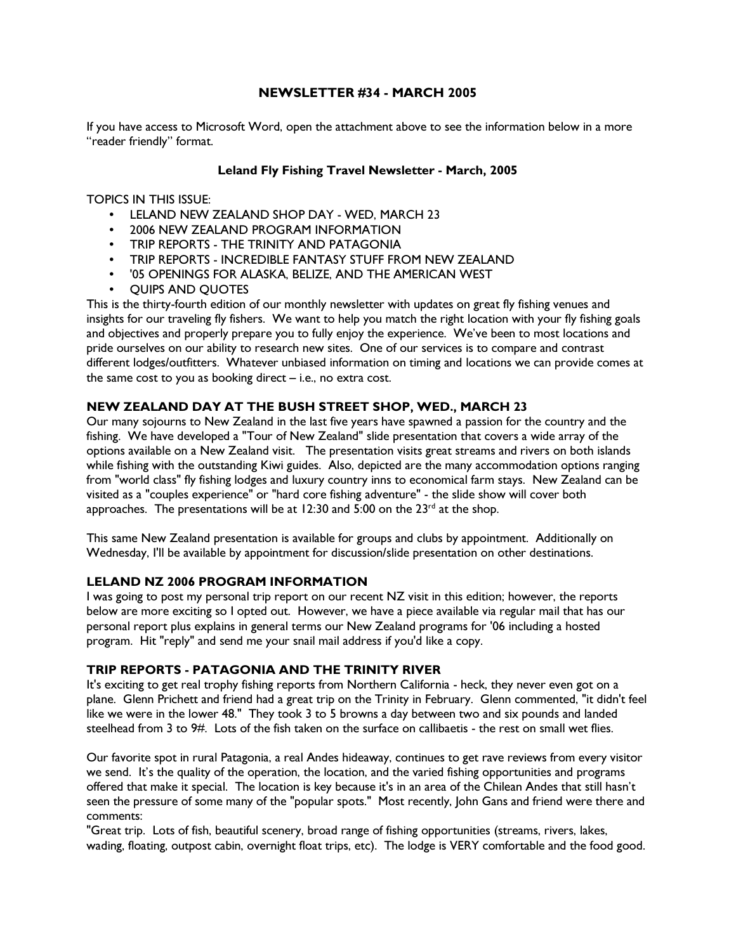## NEWSLETTER #34 - MARCH 2005

If you have access to Microsoft Word, open the attachment above to see the information below in a more "reader friendly" format.

### Leland Fly Fishing Travel Newsletter - March, 2005

TOPICS IN THIS ISSUE:

- LELAND NEW ZEALAND SHOP DAY WED, MARCH 23
- 2006 NEW ZEALAND PROGRAM INFORMATION
- TRIP REPORTS THE TRINITY AND PATAGONIA
- TRIP REPORTS INCREDIBLE FANTASY STUFF FROM NEW ZEALAND
- '05 OPENINGS FOR ALASKA, BELIZE, AND THE AMERICAN WEST
- QUIPS AND QUOTES

This is the thirty-fourth edition of our monthly newsletter with updates on great fly fishing venues and insights for our traveling fly fishers. We want to help you match the right location with your fly fishing goals and objectives and properly prepare you to fully enjoy the experience. We've been to most locations and pride ourselves on our ability to research new sites. One of our services is to compare and contrast different lodges/outfitters. Whatever unbiased information on timing and locations we can provide comes at the same cost to you as booking direct  $-$  i.e., no extra cost.

# NEW ZEALAND DAY AT THE BUSH STREET SHOP, WED., MARCH 23

Our many sojourns to New Zealand in the last five years have spawned a passion for the country and the fishing. We have developed a "Tour of New Zealand" slide presentation that covers a wide array of the options available on a New Zealand visit. The presentation visits great streams and rivers on both islands while fishing with the outstanding Kiwi guides. Also, depicted are the many accommodation options ranging from "world class" fly fishing lodges and luxury country inns to economical farm stays. New Zealand can be visited as a "couples experience" or "hard core fishing adventure" - the slide show will cover both approaches. The presentations will be at 12:30 and 5:00 on the  $23<sup>rd</sup>$  at the shop.

This same New Zealand presentation is available for groups and clubs by appointment. Additionally on Wednesday, I'll be available by appointment for discussion/slide presentation on other destinations.

### LELAND NZ 2006 PROGRAM INFORMATION

I was going to post my personal trip report on our recent NZ visit in this edition; however, the reports below are more exciting so I opted out. However, we have a piece available via regular mail that has our personal report plus explains in general terms our New Zealand programs for '06 including a hosted program. Hit "reply" and send me your snail mail address if you'd like a copy.

#### TRIP REPORTS - PATAGONIA AND THE TRINITY RIVER

It's exciting to get real trophy fishing reports from Northern California - heck, they never even got on a plane. Glenn Prichett and friend had a great trip on the Trinity in February. Glenn commented, "it didn't feel like we were in the lower 48." They took 3 to 5 browns a day between two and six pounds and landed steelhead from 3 to 9#. Lots of the fish taken on the surface on callibaetis - the rest on small wet flies.

Our favorite spot in rural Patagonia, a real Andes hideaway, continues to get rave reviews from every visitor we send. It's the quality of the operation, the location, and the varied fishing opportunities and programs offered that make it special. The location is key because it's in an area of the Chilean Andes that still hasn't seen the pressure of some many of the "popular spots." Most recently, John Gans and friend were there and comments:

"Great trip. Lots of fish, beautiful scenery, broad range of fishing opportunities (streams, rivers, lakes, wading, floating, outpost cabin, overnight float trips, etc). The lodge is VERY comfortable and the food good.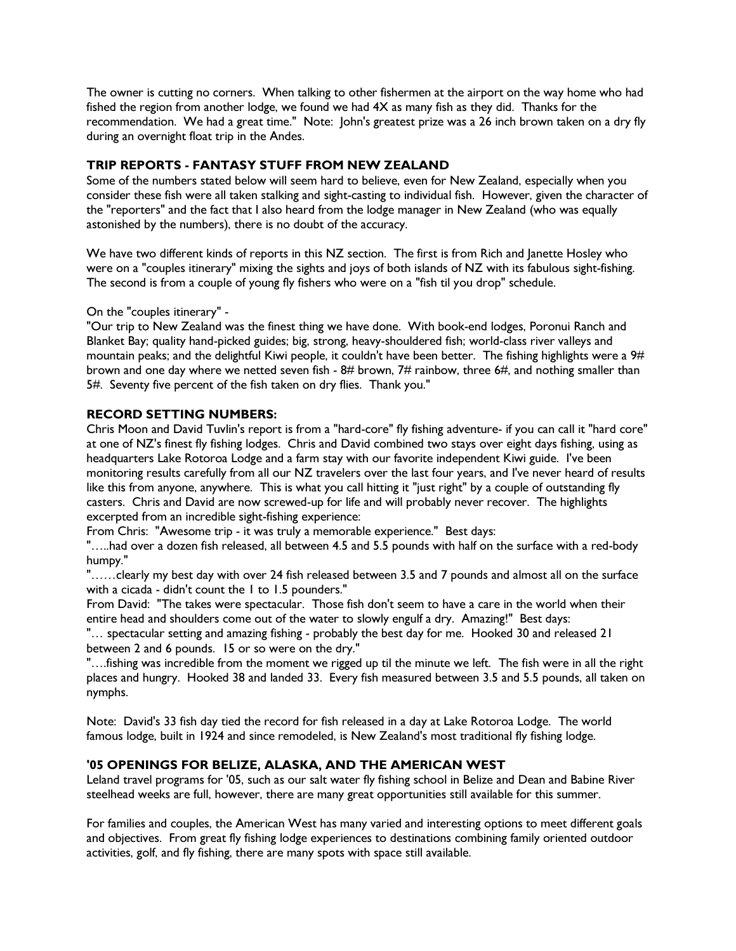The owner is cutting no corners. When talking to other fishermen at the airport on the way home who had fished the region from another lodge, we found we had 4X as many fish as they did. Thanks for the recommendation. We had a great time." Note: John's greatest prize was a 26 inch brown taken on a dry fly during an overnight float trip in the Andes.

# TRIP REPORTS - FANTASY STUFF FROM NEW ZEALAND

Some of the numbers stated below will seem hard to believe, even for New Zealand, especially when you consider these fish were all taken stalking and sight-casting to individual fish. However, given the character of the "reporters" and the fact that I also heard from the lodge manager in New Zealand (who was equally astonished by the numbers), there is no doubt of the accuracy.

We have two different kinds of reports in this NZ section. The first is from Rich and Janette Hosley who were on a "couples itinerary" mixing the sights and joys of both islands of NZ with its fabulous sight-fishing. The second is from a couple of young fly fishers who were on a "fish til you drop" schedule.

On the "couples itinerary" -

"Our trip to New Zealand was the finest thing we have done. With book-end lodges, Poronui Ranch and Blanket Bay; quality hand-picked guides; big, strong, heavy-shouldered fish; world-class river valleys and mountain peaks; and the delightful Kiwi people, it couldn't have been better. The fishing highlights were a 9# brown and one day where we netted seven fish - 8# brown, 7# rainbow, three 6#, and nothing smaller than 5#. Seventy five percent of the fish taken on dry flies. Thank you."

## RECORD SETTING NUMBERS:

Chris Moon and David Tuvlin's report is from a "hard-core" fly fishing adventure- if you can call it "hard core" at one of NZ's finest fly fishing lodges. Chris and David combined two stays over eight days fishing, using as headquarters Lake Rotoroa Lodge and a farm stay with our favorite independent Kiwi guide. I've been monitoring results carefully from all our NZ travelers over the last four years, and I've never heard of results like this from anyone, anywhere. This is what you call hitting it "just right" by a couple of outstanding fly casters. Chris and David are now screwed-up for life and will probably never recover. The highlights excerpted from an incredible sight-fishing experience:

From Chris: "Awesome trip - it was truly a memorable experience." Best days:

"…..had over a dozen fish released, all between 4.5 and 5.5 pounds with half on the surface with a red-body humpy."

"……clearly my best day with over 24 fish released between 3.5 and 7 pounds and almost all on the surface with a cicada - didn't count the 1 to 1.5 pounders."

From David: "The takes were spectacular. Those fish don't seem to have a care in the world when their entire head and shoulders come out of the water to slowly engulf a dry. Amazing!" Best days:

"… spectacular setting and amazing fishing - probably the best day for me. Hooked 30 and released 21 between 2 and 6 pounds. 15 or so were on the dry."

"….fishing was incredible from the moment we rigged up til the minute we left. The fish were in all the right places and hungry. Hooked 38 and landed 33. Every fish measured between 3.5 and 5.5 pounds, all taken on nymphs.

Note: David's 33 fish day tied the record for fish released in a day at Lake Rotoroa Lodge. The world famous lodge, built in 1924 and since remodeled, is New Zealand's most traditional fly fishing lodge.

# '05 OPENINGS FOR BELIZE, ALASKA, AND THE AMERICAN WEST

Leland travel programs for '05, such as our salt water fly fishing school in Belize and Dean and Babine River steelhead weeks are full, however, there are many great opportunities still available for this summer.

For families and couples, the American West has many varied and interesting options to meet different goals and objectives. From great fly fishing lodge experiences to destinations combining family oriented outdoor activities, golf, and fly fishing, there are many spots with space still available.